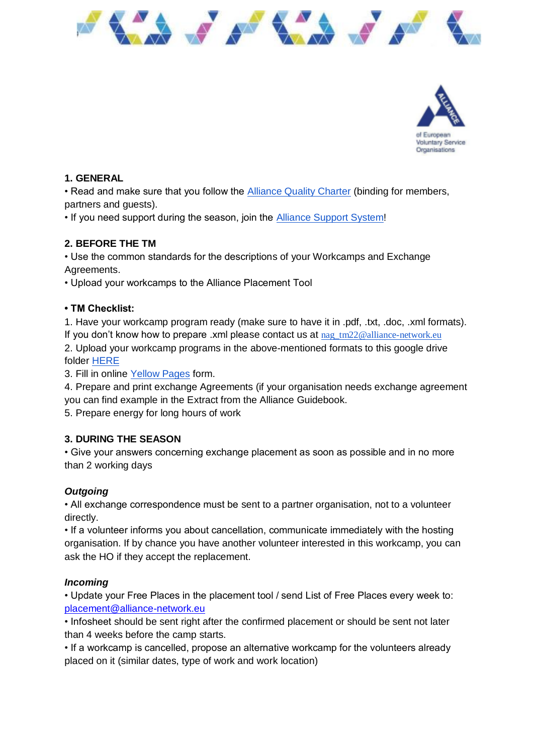



# **1. GENERAL**

• Read and make sure that you follow the [Alliance Quality Charter](http://www.alliance-network.eu/wp-content/uploads/2014/03/Alliance-Quality-Charter_version2014.pdf) (binding for members, partners and guests).

• If you need support during the season, join the [Alliance Support System!](https://join.slack.com/t/alliancesupportsystem/shared_invite/zt-40ottts2-MX_njLJ4zjhdb_hB7EyoYA)

## **2. BEFORE THE TM**

• Use the common standards for the descriptions of your Workcamps and Exchange Agreements.

• Upload your workcamps to the Alliance Placement Tool

### **• TM Checklist:**

1. Have your workcamp program ready (make sure to have it in .pdf, .txt, .doc, .xml formats). If you don't know how to prepare .xml please contact us at  $_{\text{nag}}$   $_{\text{tm22@alliance-network.eu}}$ 2. Upload your workcamp programs in the above-mentioned formats to this google drive folder [HERE](https://drive.google.com/drive/folders/1rGbrRFW8Ax-0l5UCsblmv62ksTtCkhf7?usp=sharing)

3. Fill in online [Yellow Pages](https://forms.gle/ohzkf4S65VDQcnGGA) form.

4. Prepare and print exchange Agreements (if your organisation needs exchange agreement you can find example in the Extract from the Alliance Guidebook.

5. Prepare energy for long hours of work

### **3. DURING THE SEASON**

• Give your answers concerning exchange placement as soon as possible and in no more than 2 working days

### *Outgoing*

• All exchange correspondence must be sent to a partner organisation, not to a volunteer directly.

• If a volunteer informs you about cancellation, communicate immediately with the hosting organisation. If by chance you have another volunteer interested in this workcamp, you can ask the HO if they accept the replacement.

### *Incoming*

• Update your Free Places in the placement tool / send List of Free Places every week to: [placement@alliance-network.eu](mailto:placement@alliance-network.eu)

• Infosheet should be sent right after the confirmed placement or should be sent not later than 4 weeks before the camp starts.

• If a workcamp is cancelled, propose an alternative workcamp for the volunteers already placed on it (similar dates, type of work and work location)